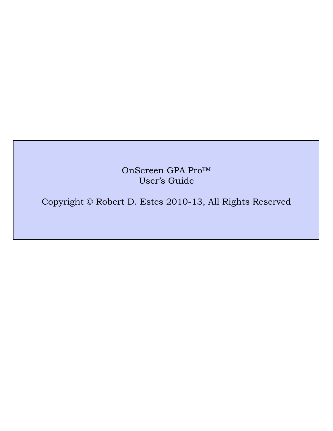OnScreen GPA Pro™ User's Guide

Copyright © Robert D. Estes 2010-13, All Rights Reserved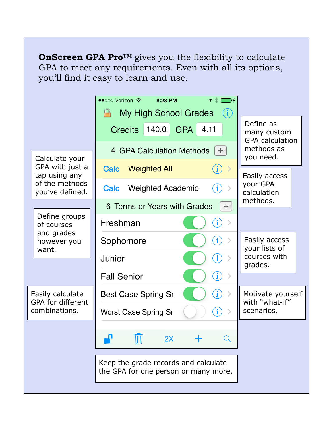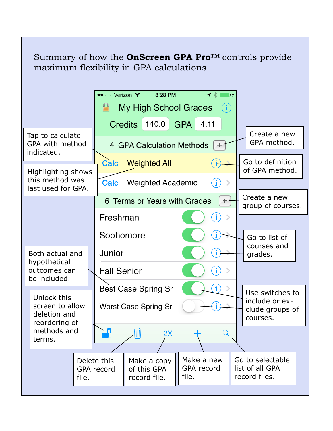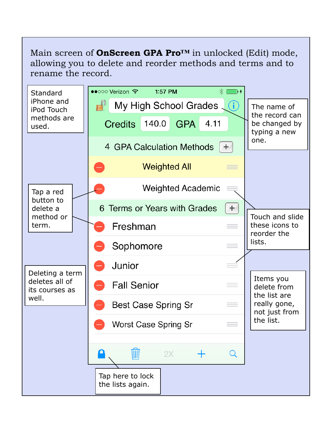Main screen of **OnScreen GPA Pro™** in unlocked (Edit) mode, allowing you to delete and reorder methods and terms and to rename the record.

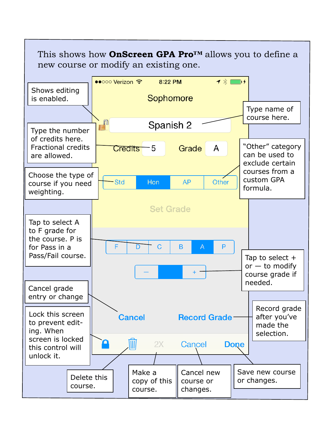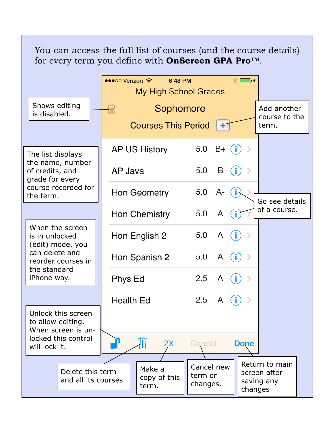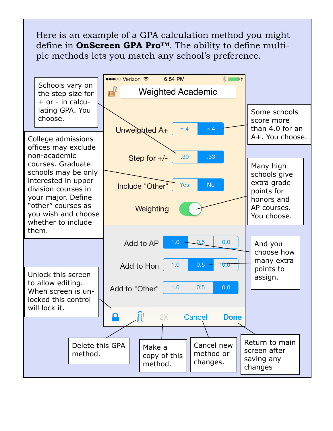